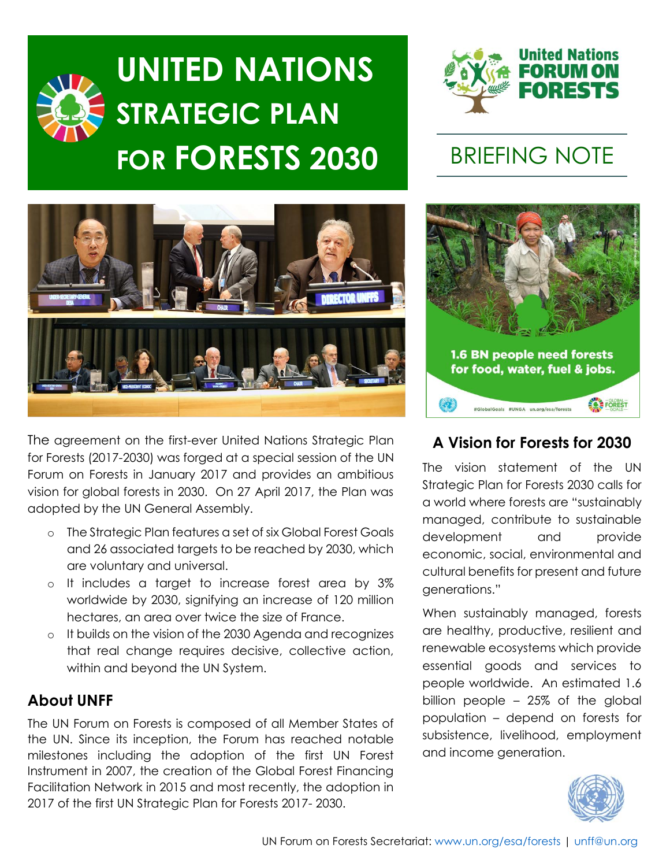# **UNITED NATIONS STRATEGIC PLAN FOR FORESTS 2030** BRIEFING NOTE





The agreement on the first-ever United Nations Strategic Plan for Forests (2017-2030) was forged at a special session of the UN Forum on Forests in January 2017 and provides an ambitious vision for global forests in 2030. On 27 April 2017, the Plan was adopted by the UN General Assembly.

- o The Strategic Plan features a set of six Global Forest Goals and 26 associated targets to be reached by 2030, which are voluntary and universal.
- o It includes a target to increase forest area by 3% worldwide by 2030, signifying an increase of 120 million hectares, an area over twice the size of France.
- o It builds on the vision of the 2030 Agenda and recognizes that real change requires decisive, collective action, within and beyond the UN System.

# **About UNFF**

The UN Forum on Forests is composed of all Member States of the UN. Since its inception, the Forum has reached notable milestones including the adoption of the first UN Forest Instrument in 2007, the creation of the Global Forest Financing Facilitation Network in 2015 and most recently, the adoption in 2017 of the first UN Strategic Plan for Forests 2017- 2030.



# **A Vision for Forests for 2030**

The vision statement of the UN Strategic Plan for Forests 2030 calls for a world where forests are "sustainably managed, contribute to sustainable development and provide economic, social, environmental and cultural benefits for present and future generations."

When sustainably managed, forests are healthy, productive, resilient and renewable ecosystems which provide essential goods and services to people worldwide. An estimated 1.6 billion people – 25% of the global population – depend on forests for subsistence, livelihood, employment and income generation.